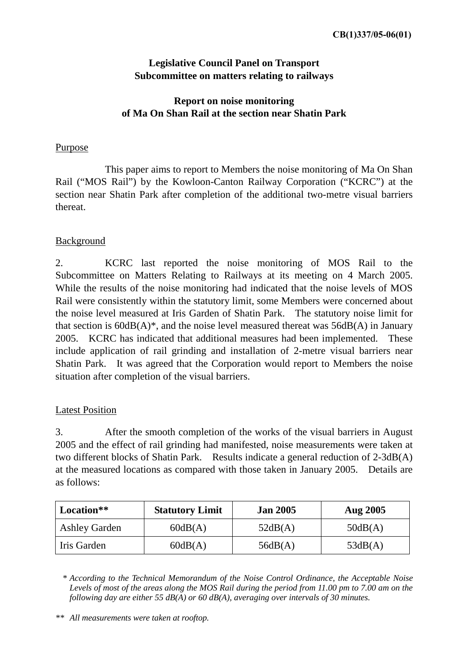# **Legislative Council Panel on Transport Subcommittee on matters relating to railways**

# **Report on noise monitoring of Ma On Shan Rail at the section near Shatin Park**

### Purpose

 This paper aims to report to Members the noise monitoring of Ma On Shan Rail ("MOS Rail") by the Kowloon-Canton Railway Corporation ("KCRC") at the section near Shatin Park after completion of the additional two-metre visual barriers thereat.

### Background

2. KCRC last reported the noise monitoring of MOS Rail to the Subcommittee on Matters Relating to Railways at its meeting on 4 March 2005. While the results of the noise monitoring had indicated that the noise levels of MOS Rail were consistently within the statutory limit, some Members were concerned about the noise level measured at Iris Garden of Shatin Park. The statutory noise limit for that section is  $60dB(A)$ <sup>\*</sup>, and the noise level measured thereat was  $56dB(A)$  in January 2005. KCRC has indicated that additional measures had been implemented. These include application of rail grinding and installation of 2-metre visual barriers near Shatin Park. It was agreed that the Corporation would report to Members the noise situation after completion of the visual barriers.

## Latest Position

3. After the smooth completion of the works of the visual barriers in August 2005 and the effect of rail grinding had manifested, noise measurements were taken at two different blocks of Shatin Park. Results indicate a general reduction of 2-3dB(A) at the measured locations as compared with those taken in January 2005. Details are as follows:

| Location**           | <b>Statutory Limit</b> | <b>Jan 2005</b> | <b>Aug 2005</b> |
|----------------------|------------------------|-----------------|-----------------|
| <b>Ashley Garden</b> | 60dB(A)                | 52dB(A)         | 50dB(A)         |
| Iris Garden          | 60dB(A)                | 56dB(A)         | 53dB(A)         |

*\* According to the Technical Memorandum of the Noise Control Ordinance, the Acceptable Noise Levels of most of the areas along the MOS Rail during the period from 11.00 pm to 7.00 am on the following day are either 55 dB(A) or 60 dB(A), averaging over intervals of 30 minutes.* 

*\*\* All measurements were taken at rooftop.*